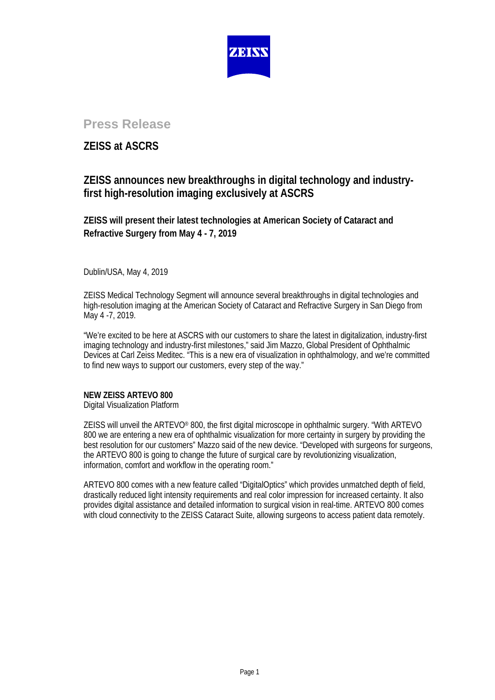

# **Press Release**

## **ZEISS at ASCRS**

## **ZEISS announces new breakthroughs in digital technology and industryfirst high-resolution imaging exclusively at ASCRS**

**ZEISS will present their latest technologies at American Society of Cataract and Refractive Surgery from May 4 - 7, 2019**

Dublin/USA, May 4, 2019

ZEISS Medical Technology Segment will announce several breakthroughs in digital technologies and high-resolution imaging at the American Society of Cataract and Refractive Surgery in San Diego from May 4 -7, 2019.

"We're excited to be here at ASCRS with our customers to share the latest in digitalization, industry-first imaging technology and industry-first milestones," said Jim Mazzo, Global President of Ophthalmic Devices at Carl Zeiss Meditec. "This is a new era of visualization in ophthalmology, and we're committed to find new ways to support our customers, every step of the way."

## **NEW ZEISS ARTEVO 800**

Digital Visualization Platform

ZEISS will unveil the ARTEVO® 800, the first digital microscope in ophthalmic surgery. "With ARTEVO 800 we are entering a new era of ophthalmic visualization for more certainty in surgery by providing the best resolution for our customers" Mazzo said of the new device. "Developed with surgeons for surgeons, the ARTEVO 800 is going to change the future of surgical care by revolutionizing visualization, information, comfort and workflow in the operating room."

ARTEVO 800 comes with a new feature called "DigitalOptics" which provides unmatched depth of field, drastically reduced light intensity requirements and real color impression for increased certainty. It also provides digital assistance and detailed information to surgical vision in real-time. ARTEVO 800 comes with cloud connectivity to the ZEISS Cataract Suite, allowing surgeons to access patient data remotely.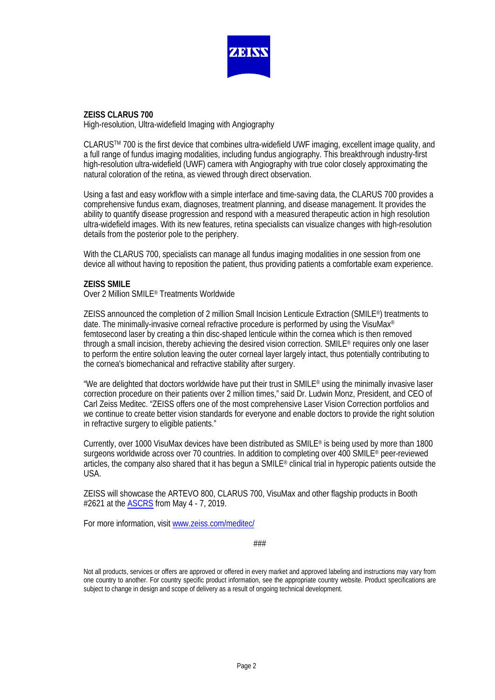

### **ZEISS CLARUS 700**

High-resolution, Ultra-widefield Imaging with Angiography

CLARUSTM 700 is the first device that combines ultra-widefield UWF imaging, excellent image quality, and a full range of fundus imaging modalities, including fundus angiography. This breakthrough industry-first high-resolution ultra-widefield (UWF) camera with Angiography with true color closely approximating the natural coloration of the retina, as viewed through direct observation.

Using a fast and easy workflow with a simple interface and time-saving data, the CLARUS 700 provides a comprehensive fundus exam, diagnoses, treatment planning, and disease management. It provides the ability to quantify disease progression and respond with a measured therapeutic action in high resolution ultra-widefield images. With its new features, retina specialists can visualize changes with high-resolution details from the posterior pole to the periphery.

With the CLARUS 700, specialists can manage all fundus imaging modalities in one session from one device all without having to reposition the patient, thus providing patients a comfortable exam experience.

### **ZEISS SMILE**

Over 2 Million SMILE® Treatments Worldwide

ZEISS announced the completion of 2 million Small Incision Lenticule Extraction (SMILE®) treatments to date. The minimally-invasive corneal refractive procedure is performed by using the VisuMax® femtosecond laser by creating a thin disc-shaped lenticule within the cornea which is then removed through a small incision, thereby achieving the desired vision correction. SMILE® requires only one laser to perform the entire solution leaving the outer corneal layer largely intact, thus potentially contributing to the cornea's biomechanical and refractive stability after surgery.

"We are delighted that doctors worldwide have put their trust in SMILE® using the minimally invasive laser correction procedure on their patients over 2 million times," said Dr. Ludwin Monz, President, and CEO of Carl Zeiss Meditec. "ZEISS offers one of the most comprehensive Laser Vision Correction portfolios and we continue to create better vision standards for everyone and enable doctors to provide the right solution in refractive surgery to eligible patients."

Currently, over 1000 VisuMax devices have been distributed as SMILE® is being used by more than 1800 surgeons worldwide across over 70 countries. In addition to completing over 400 SMILE<sup>®</sup> peer-reviewed articles, the company also shared that it has begun a SMILE® clinical trial in hyperopic patients outside the USA.

ZEISS will showcase the ARTEVO 800, CLARUS 700, VisuMax and other flagship products in Booth #2621 at the [ASCRS](https://www.zeiss.com/meditec/us/media-and-news/events/ascrs-2019.html) from May 4 - 7, 2019.

For more information, visi[t www.zeiss.com/meditec/](https://www.zeiss.com/meditec/us/media-and-news/events/ascrs-2019.html)

###

Not all products, services or offers are approved or offered in every market and approved labeling and instructions may vary from one country to another. For country specific product information, see the appropriate country website. Product specifications are subject to change in design and scope of delivery as a result of ongoing technical development.